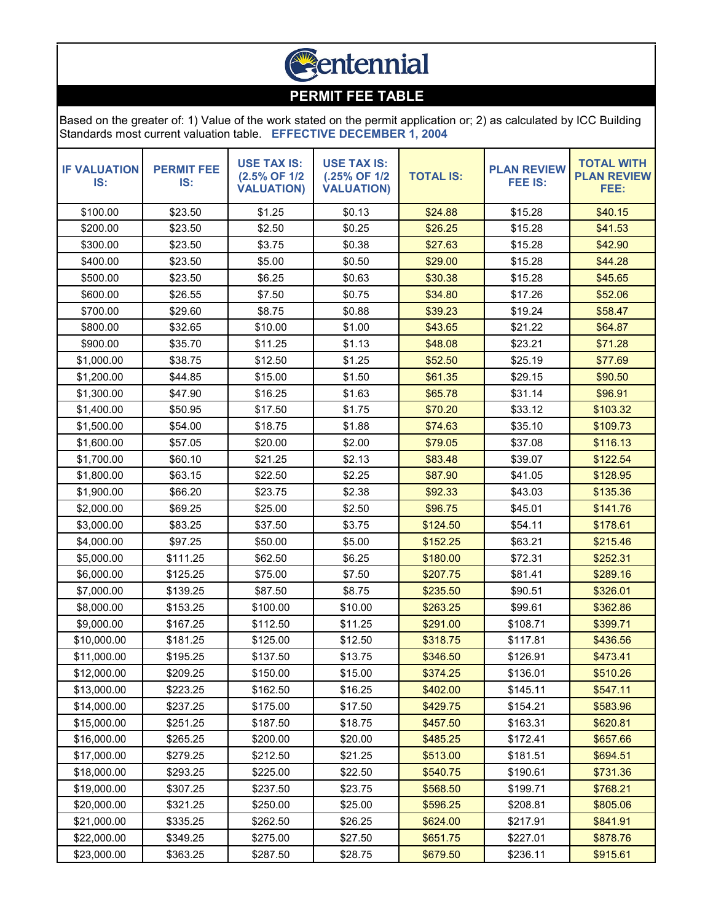

## **PERMIT FEE TABLE**

Based on the greater of: 1) Value of the work stated on the permit application or; 2) as calculated by ICC Building Standards most current valuation table. **EFFECTIVE DECEMBER 1, 2004**

| <b>IF VALUATION</b><br>IS: | <b>PERMIT FEE</b><br>IS: | <b>USE TAX IS:</b><br>(2.5% OF 1/2<br><b>VALUATION)</b> | <b>USE TAX IS:</b><br>(.25% OF 1/2<br><b>VALUATION)</b> | <b>TOTAL IS:</b> | <b>PLAN REVIEW</b><br><b>FEE IS:</b> | <b>TOTAL WITH</b><br><b>PLAN REVIEW</b><br>FEE: |
|----------------------------|--------------------------|---------------------------------------------------------|---------------------------------------------------------|------------------|--------------------------------------|-------------------------------------------------|
| \$100.00                   | \$23.50                  | \$1.25                                                  | \$0.13                                                  | \$24.88          | \$15.28                              | \$40.15                                         |
| \$200.00                   | \$23.50                  | \$2.50                                                  | \$0.25                                                  | \$26.25          | \$15.28                              | \$41.53                                         |
| \$300.00                   | \$23.50                  | \$3.75                                                  | \$0.38                                                  | \$27.63          | \$15.28                              | \$42.90                                         |
| \$400.00                   | \$23.50                  | \$5.00                                                  | \$0.50                                                  | \$29.00          | \$15.28                              | \$44.28                                         |
| \$500.00                   | \$23.50                  | \$6.25                                                  | \$0.63                                                  | \$30.38          | \$15.28                              | \$45.65                                         |
| \$600.00                   | \$26.55                  | \$7.50                                                  | \$0.75                                                  | \$34.80          | \$17.26                              | \$52.06                                         |
| \$700.00                   | \$29.60                  | \$8.75                                                  | \$0.88                                                  | \$39.23          | \$19.24                              | \$58.47                                         |
| \$800.00                   | \$32.65                  | \$10.00                                                 | \$1.00                                                  | \$43.65          | \$21.22                              | \$64.87                                         |
| \$900.00                   | \$35.70                  | \$11.25                                                 | \$1.13                                                  | \$48.08          | \$23.21                              | \$71.28                                         |
| \$1,000.00                 | \$38.75                  | \$12.50                                                 | \$1.25                                                  | \$52.50          | \$25.19                              | \$77.69                                         |
| \$1,200.00                 | \$44.85                  | \$15.00                                                 | \$1.50                                                  | \$61.35          | \$29.15                              | \$90.50                                         |
| \$1,300.00                 | \$47.90                  | \$16.25                                                 | \$1.63                                                  | \$65.78          | \$31.14                              | \$96.91                                         |
| \$1,400.00                 | \$50.95                  | \$17.50                                                 | \$1.75                                                  | \$70.20          | \$33.12                              | \$103.32                                        |
| \$1,500.00                 | \$54.00                  | \$18.75                                                 | \$1.88                                                  | \$74.63          | \$35.10                              | \$109.73                                        |
| \$1,600.00                 | \$57.05                  | \$20.00                                                 | \$2.00                                                  | \$79.05          | \$37.08                              | \$116.13                                        |
| \$1,700.00                 | \$60.10                  | \$21.25                                                 | \$2.13                                                  | \$83.48          | \$39.07                              | \$122.54                                        |
| \$1,800.00                 | \$63.15                  | \$22.50                                                 | \$2.25                                                  | \$87.90          | \$41.05                              | \$128.95                                        |
| \$1,900.00                 | \$66.20                  | \$23.75                                                 | \$2.38                                                  | \$92.33          | \$43.03                              | \$135.36                                        |
| \$2,000.00                 | \$69.25                  | \$25.00                                                 | \$2.50                                                  | \$96.75          | \$45.01                              | \$141.76                                        |
| \$3,000.00                 | \$83.25                  | \$37.50                                                 | \$3.75                                                  | \$124.50         | \$54.11                              | \$178.61                                        |
| \$4,000.00                 | \$97.25                  | \$50.00                                                 | \$5.00                                                  | \$152.25         | \$63.21                              | \$215.46                                        |
| \$5,000.00                 | \$111.25                 | \$62.50                                                 | \$6.25                                                  | \$180.00         | \$72.31                              | \$252.31                                        |
| \$6,000.00                 | \$125.25                 | \$75.00                                                 | \$7.50                                                  | \$207.75         | \$81.41                              | \$289.16                                        |
| \$7,000.00                 | \$139.25                 | \$87.50                                                 | \$8.75                                                  | \$235.50         | \$90.51                              | \$326.01                                        |
| \$8,000.00                 | \$153.25                 | \$100.00                                                | \$10.00                                                 | \$263.25         | \$99.61                              | \$362.86                                        |
| \$9,000.00                 | \$167.25                 | \$112.50                                                | \$11.25                                                 | \$291.00         | \$108.71                             | \$399.71                                        |
| \$10,000.00                | \$181.25                 | \$125.00                                                | \$12.50                                                 | \$318.75         | \$117.81                             | \$436.56                                        |
| \$11,000.00                | \$195.25                 | \$137.50                                                | \$13.75                                                 | \$346.50         | \$126.91                             | \$473.41                                        |
| \$12,000.00                | \$209.25                 | \$150.00                                                | \$15.00                                                 | \$374.25         | \$136.01                             | \$510.26                                        |
| \$13,000.00                | \$223.25                 | \$162.50                                                | \$16.25                                                 | \$402.00         | \$145.11                             | \$547.11                                        |
| \$14,000.00                | \$237.25                 | \$175.00                                                | \$17.50                                                 | \$429.75         | \$154.21                             | \$583.96                                        |
| \$15,000.00                | \$251.25                 | \$187.50                                                | \$18.75                                                 | \$457.50         | \$163.31                             | \$620.81                                        |
| \$16,000.00                | \$265.25                 | \$200.00                                                | \$20.00                                                 | \$485.25         | \$172.41                             | \$657.66                                        |
| \$17,000.00                | \$279.25                 | \$212.50                                                | \$21.25                                                 | \$513.00         | \$181.51                             | \$694.51                                        |
| \$18,000.00                | \$293.25                 | \$225.00                                                | \$22.50                                                 | \$540.75         | \$190.61                             | \$731.36                                        |
| \$19,000.00                | \$307.25                 | \$237.50                                                | \$23.75                                                 | \$568.50         | \$199.71                             | \$768.21                                        |
| \$20,000.00                | \$321.25                 | \$250.00                                                | \$25.00                                                 | \$596.25         | \$208.81                             | \$805.06                                        |
| \$21,000.00                | \$335.25                 | \$262.50                                                | \$26.25                                                 | \$624.00         | \$217.91                             | \$841.91                                        |
| \$22,000.00                | \$349.25                 | \$275.00                                                | \$27.50                                                 | \$651.75         | \$227.01                             | \$878.76                                        |
| \$23,000.00                | \$363.25                 | \$287.50                                                | \$28.75                                                 | \$679.50         | \$236.11                             | \$915.61                                        |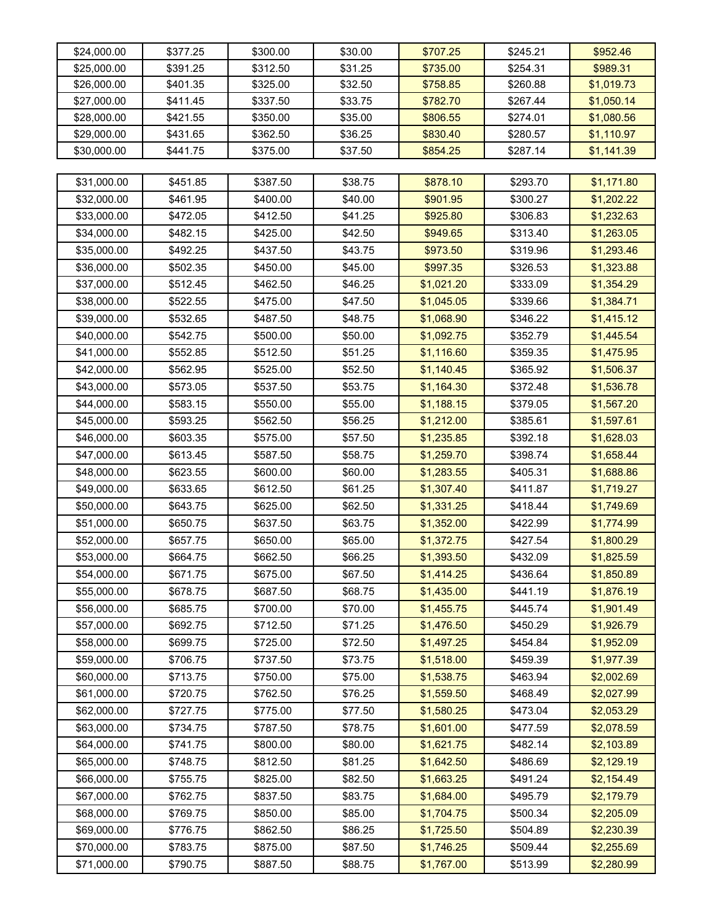| \$24,000.00 | \$377.25 | \$300.00 | \$30.00 | \$707.25   | \$245.21 | \$952.46   |
|-------------|----------|----------|---------|------------|----------|------------|
| \$25,000.00 | \$391.25 | \$312.50 | \$31.25 | \$735.00   | \$254.31 | \$989.31   |
| \$26,000.00 | \$401.35 | \$325.00 | \$32.50 | \$758.85   | \$260.88 | \$1,019.73 |
| \$27,000.00 | \$411.45 | \$337.50 | \$33.75 | \$782.70   | \$267.44 | \$1,050.14 |
| \$28,000.00 | \$421.55 | \$350.00 | \$35.00 | \$806.55   | \$274.01 | \$1,080.56 |
| \$29,000.00 | \$431.65 | \$362.50 | \$36.25 | \$830.40   | \$280.57 | \$1,110.97 |
| \$30,000.00 | \$441.75 | \$375.00 | \$37.50 | \$854.25   | \$287.14 | \$1,141.39 |
|             |          |          |         |            |          |            |
| \$31,000.00 | \$451.85 | \$387.50 | \$38.75 | \$878.10   | \$293.70 | \$1,171.80 |
| \$32,000.00 | \$461.95 | \$400.00 | \$40.00 | \$901.95   | \$300.27 | \$1,202.22 |
| \$33,000.00 | \$472.05 | \$412.50 | \$41.25 | \$925.80   | \$306.83 | \$1,232.63 |
| \$34,000.00 | \$482.15 | \$425.00 | \$42.50 | \$949.65   | \$313.40 | \$1,263.05 |
| \$35,000.00 | \$492.25 | \$437.50 | \$43.75 | \$973.50   | \$319.96 | \$1,293.46 |
| \$36,000.00 | \$502.35 | \$450.00 | \$45.00 | \$997.35   | \$326.53 | \$1,323.88 |
| \$37,000.00 | \$512.45 | \$462.50 | \$46.25 | \$1,021.20 | \$333.09 | \$1,354.29 |
| \$38,000.00 | \$522.55 | \$475.00 | \$47.50 | \$1,045.05 | \$339.66 | \$1,384.71 |
| \$39,000.00 | \$532.65 | \$487.50 | \$48.75 | \$1,068.90 | \$346.22 | \$1,415.12 |
| \$40,000.00 | \$542.75 | \$500.00 | \$50.00 | \$1,092.75 | \$352.79 | \$1,445.54 |
| \$41,000.00 | \$552.85 | \$512.50 | \$51.25 | \$1,116.60 | \$359.35 | \$1,475.95 |
| \$42,000.00 | \$562.95 | \$525.00 | \$52.50 | \$1,140.45 | \$365.92 | \$1,506.37 |
| \$43,000.00 | \$573.05 | \$537.50 | \$53.75 | \$1,164.30 | \$372.48 | \$1,536.78 |
| \$44,000.00 | \$583.15 | \$550.00 | \$55.00 | \$1,188.15 | \$379.05 | \$1,567.20 |
| \$45,000.00 | \$593.25 | \$562.50 | \$56.25 | \$1,212.00 | \$385.61 | \$1,597.61 |
| \$46,000.00 | \$603.35 | \$575.00 | \$57.50 | \$1,235.85 | \$392.18 | \$1,628.03 |
| \$47,000.00 | \$613.45 | \$587.50 | \$58.75 | \$1,259.70 | \$398.74 | \$1,658.44 |
| \$48,000.00 | \$623.55 | \$600.00 | \$60.00 | \$1,283.55 | \$405.31 | \$1,688.86 |
| \$49,000.00 | \$633.65 | \$612.50 | \$61.25 | \$1,307.40 | \$411.87 | \$1,719.27 |
| \$50,000.00 | \$643.75 | \$625.00 | \$62.50 | \$1,331.25 | \$418.44 | \$1,749.69 |
| \$51,000.00 | \$650.75 | \$637.50 | \$63.75 | \$1,352.00 | \$422.99 | \$1,774.99 |
| \$52,000.00 | \$657.75 | \$650.00 | \$65.00 | \$1,372.75 | \$427.54 | \$1,800.29 |
| \$53,000.00 | \$664.75 | \$662.50 | \$66.25 | \$1,393.50 | \$432.09 | \$1,825.59 |
| \$54,000.00 | \$671.75 | \$675.00 | \$67.50 | \$1,414.25 | \$436.64 | \$1,850.89 |
| \$55,000.00 | \$678.75 | \$687.50 | \$68.75 | \$1,435.00 | \$441.19 | \$1,876.19 |
| \$56,000.00 | \$685.75 | \$700.00 | \$70.00 | \$1,455.75 | \$445.74 | \$1,901.49 |
| \$57,000.00 | \$692.75 | \$712.50 | \$71.25 | \$1,476.50 | \$450.29 | \$1,926.79 |
| \$58,000.00 | \$699.75 | \$725.00 | \$72.50 | \$1,497.25 | \$454.84 | \$1,952.09 |
| \$59,000.00 | \$706.75 | \$737.50 | \$73.75 | \$1,518.00 | \$459.39 | \$1,977.39 |
| \$60,000.00 | \$713.75 | \$750.00 | \$75.00 | \$1,538.75 | \$463.94 | \$2,002.69 |
| \$61,000.00 | \$720.75 | \$762.50 | \$76.25 | \$1,559.50 | \$468.49 | \$2,027.99 |
| \$62,000.00 | \$727.75 | \$775.00 | \$77.50 | \$1,580.25 | \$473.04 | \$2,053.29 |
| \$63,000.00 | \$734.75 | \$787.50 | \$78.75 | \$1,601.00 | \$477.59 | \$2,078.59 |
| \$64,000.00 | \$741.75 | \$800.00 | \$80.00 | \$1,621.75 | \$482.14 | \$2,103.89 |
| \$65,000.00 | \$748.75 | \$812.50 | \$81.25 | \$1,642.50 | \$486.69 | \$2,129.19 |
| \$66,000.00 | \$755.75 | \$825.00 | \$82.50 | \$1,663.25 | \$491.24 | \$2,154.49 |
| \$67,000.00 | \$762.75 | \$837.50 | \$83.75 | \$1,684.00 | \$495.79 | \$2,179.79 |
| \$68,000.00 | \$769.75 | \$850.00 | \$85.00 | \$1,704.75 | \$500.34 | \$2,205.09 |
| \$69,000.00 | \$776.75 | \$862.50 | \$86.25 | \$1,725.50 | \$504.89 | \$2,230.39 |
| \$70,000.00 | \$783.75 | \$875.00 | \$87.50 | \$1,746.25 | \$509.44 | \$2,255.69 |
| \$71,000.00 | \$790.75 | \$887.50 | \$88.75 | \$1,767.00 | \$513.99 | \$2,280.99 |